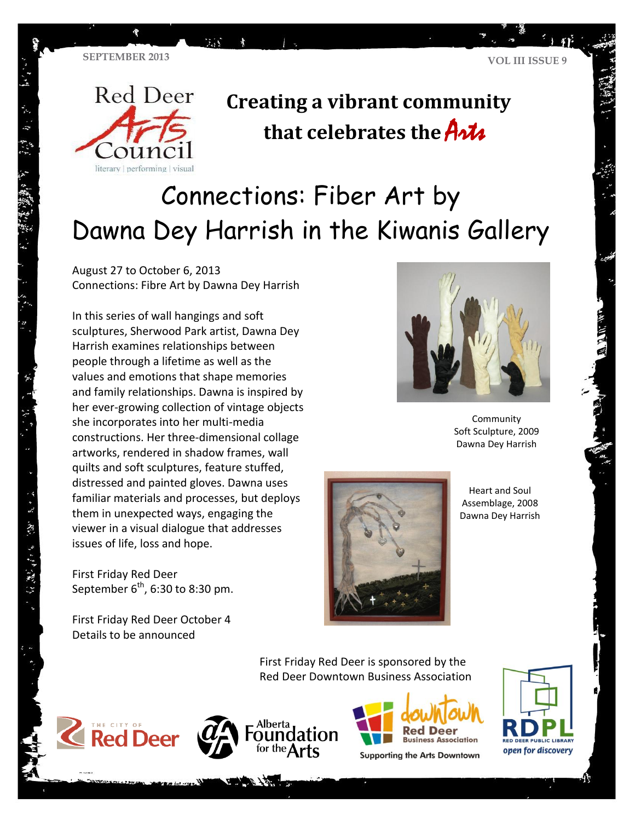

经原则 网络一种

## **Creating a vibrant community that celebrates the** Arts

# Connections: Fiber Art by Dawna Dey Harrish in the Kiwanis Gallery

August 27 to October 6, 2013 Connections: Fibre Art by Dawna Dey Harrish

**TA** 

In this series of wall hangings and soft sculptures, Sherwood Park artist, Dawna Dey Harrish examines relationships between people through a lifetime as well as the values and emotions that shape memories and family relationships. Dawna is inspired by her ever-growing collection of vintage objects she incorporates into her multi-media constructions. Her three-dimensional collage artworks, rendered in shadow frames, wall quilts and soft sculptures, feature stuffed, distressed and painted gloves. Dawna uses familiar materials and processes, but deploys them in unexpected ways, engaging the viewer in a visual dialogue that addresses issues of life, loss and hope.

First Friday Red Deer September  $6^{\text{th}}$ , 6:30 to 8:30 pm.

First Friday Red Deer October 4 Details to be announced



Community Soft Sculpture, 2009 Dawna Dey Harrish



Heart and Soul Assemblage, 2008 Dawna Dey Harrish

First Friday Red Deer is sponsored by the Red Deer Downtown Business Association







**Supporting the Arts Downtown** 



了。好 潮湿 生活性 人名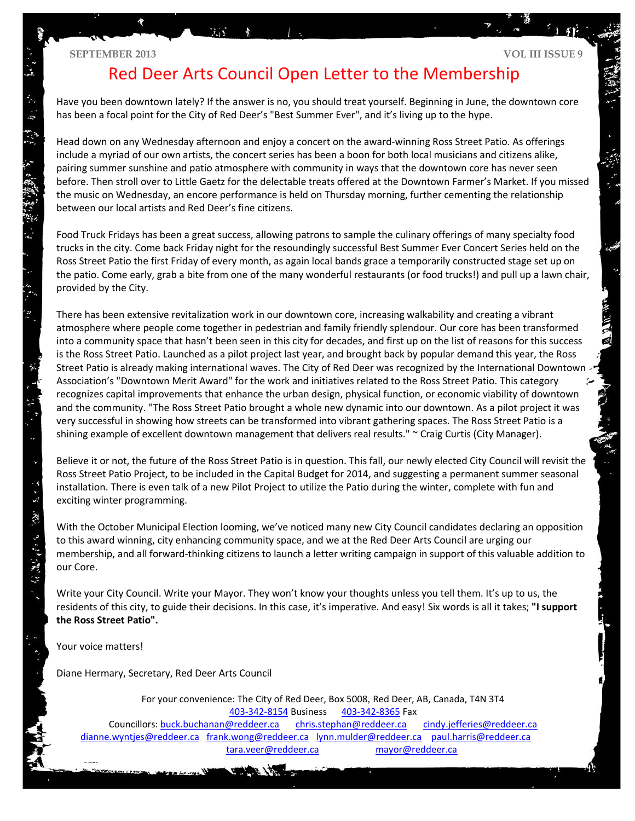#### **SEPTEMBER 2013 VOL III ISSUE 9**

 $\ddot{\bm{x}}$ 

 $\ddot{\tilde{\mathbf{z}}}$ 

 $\frac{1}{2}$  ,  $\frac{1}{2}$  ,  $\frac{1}{2}$  ,  $\frac{1}{2}$ 

 $\ddot{x}$ 

## Red Deer Arts Council Open Letter to the Membership

Have you been downtown lately? If the answer is no, you should treat yourself. Beginning in June, the downtown core has been a focal point for the City of Red Deer's "Best Summer Ever", and it's living up to the hype.

Head down on any Wednesday afternoon and enjoy a concert on the award-winning Ross Street Patio. As offerings include a myriad of our own artists, the concert series has been a boon for both local musicians and citizens alike, pairing summer sunshine and patio atmosphere with community in ways that the downtown core has never seen before. Then stroll over to Little Gaetz for the delectable treats offered at the Downtown Farmer's Market. If you missed the music on Wednesday, an encore performance is held on Thursday morning, further cementing the relationship between our local artists and Red Deer's fine citizens.

Food Truck Fridays has been a great success, allowing patrons to sample the culinary offerings of many specialty food trucks in the city. Come back Friday night for the resoundingly successful Best Summer Ever Concert Series held on the Ross Street Patio the first Friday of every month, as again local bands grace a temporarily constructed stage set up on the patio. Come early, grab a bite from one of the many wonderful restaurants (or food trucks!) and pull up a lawn chair, provided by the City.

There has been extensive revitalization work in our downtown core, increasing walkability and creating a vibrant atmosphere where people come together in pedestrian and family friendly splendour. Our core has been transformed into a community space that hasn't been seen in this city for decades, and first up on the list of reasons for this success is the Ross Street Patio. Launched as a pilot project last year, and brought back by popular demand this year, the Ross Street Patio is already making international waves. The City of Red Deer was recognized by the International Downtown Association's "Downtown Merit Award" for the work and initiatives related to the Ross Street Patio. This category recognizes capital improvements that enhance the urban design, physical function, or economic viability of downtown and the community. "The Ross Street Patio brought a whole new dynamic into our downtown. As a pilot project it was very successful in showing how streets can be transformed into vibrant gathering spaces. The Ross Street Patio is a shining example of excellent downtown management that delivers real results." ~ Craig Curtis (City Manager).

Believe it or not, the future of the Ross Street Patio is in question. This fall, our newly elected City Council will revisit the Ross Street Patio Project, to be included in the Capital Budget for 2014, and suggesting a permanent summer seasonal installation. There is even talk of a new Pilot Project to utilize the Patio during the winter, complete with fun and exciting winter programming.

With the October Municipal Election looming, we've noticed many new City Council candidates declaring an opposition to this award winning, city enhancing community space, and we at the Red Deer Arts Council are urging our membership, and all forward-thinking citizens to launch a letter writing campaign in support of this valuable addition to our Core.

Write your City Council. Write your Mayor. They won't know your thoughts unless you tell them. It's up to us, the residents of this city, to guide their decisions. In this case, it's imperative. And easy! Six words is all it takes; **"I support the Ross Street Patio".** 

Your voice matters!

Diane Hermary, Secretary, Red Deer Arts Council

For your convenience: The City of Red Deer, Box 5008, Red Deer, AB, Canada, T4N 3T4 [403-342-8154](tel:403-342-8154) Business [403-342-8365](tel:403-342-8365) Fax Councillors: [buck.buchanan@reddeer.ca](mailto:buck.buchanan@reddeer.ca) [chris.stephan@reddeer.ca](mailto:chris.stephan@reddeer.ca) cindy.jefferies@reddeer.ca [dianne.wyntjes@reddeer.ca](mailto:dianne.wyntjes@reddeer.ca) [frank.wong@reddeer.ca](mailto:frank.wong@reddeer.ca) [lynn.mulder@reddeer.ca](mailto:lynn.mulder@reddeer.ca) [paul.harris@reddeer.ca](mailto:paul.harris@reddeer.ca)

[tara.veer@reddeer.ca](mailto:tara.veer@reddeer.ca) [mayor@reddeer.ca](mailto:mayor@reddeer.ca)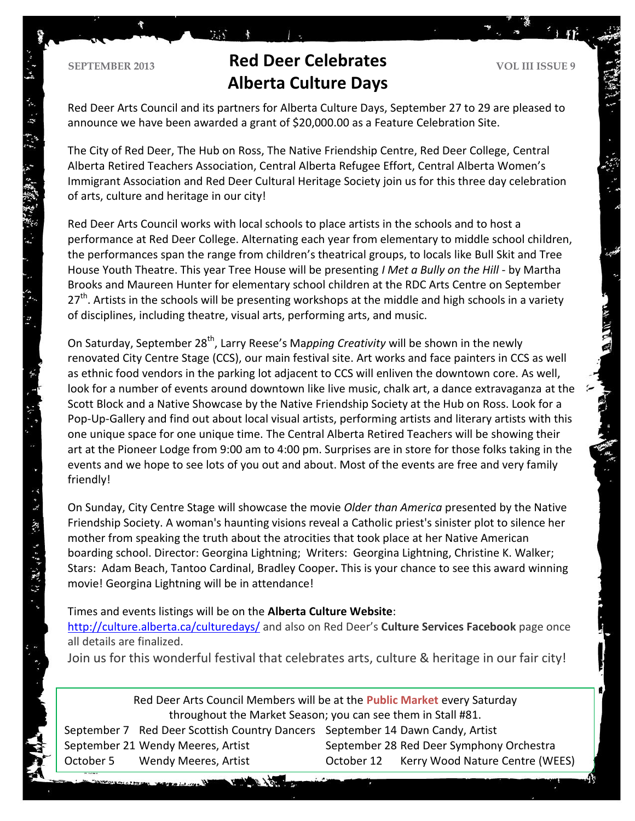$\approx 35$ 

## **Red Deer Celebrates VOL III ISSUE 9 Alberta Culture Days**

 $\mathbb{Z}^2$ 

Red Deer Arts Council and its partners for Alberta Culture Days, September 27 to 29 are pleased to announce we have been awarded a grant of \$20,000.00 as a Feature Celebration Site.

The City of Red Deer, The Hub on Ross, The Native Friendship Centre, Red Deer College, Central Alberta Retired Teachers Association, Central Alberta Refugee Effort, Central Alberta Women's Immigrant Association and Red Deer Cultural Heritage Society join us for this three day celebration of arts, culture and heritage in our city!

Red Deer Arts Council works with local schools to place artists in the schools and to host a performance at Red Deer College. Alternating each year from elementary to middle school children, the performances span the range from children's theatrical groups, to locals like Bull Skit and Tree House Youth Theatre. This year Tree House will be presenting *I Met a Bully on the Hill* - by Martha Brooks and Maureen Hunter for elementary school children at the RDC Arts Centre on September  $27<sup>th</sup>$ . Artists in the schools will be presenting workshops at the middle and high schools in a variety of disciplines, including theatre, visual arts, performing arts, and music.

On Saturday, September 28<sup>th</sup>, Larry Reese's Ma*pping Creativity* will be shown in the newly renovated City Centre Stage (CCS), our main festival site. Art works and face painters in CCS as well as ethnic food vendors in the parking lot adjacent to CCS will enliven the downtown core. As well, look for a number of events around downtown like live music, chalk art, a dance extravaganza at the Scott Block and a Native Showcase by the Native Friendship Society at the Hub on Ross. Look for a Pop-Up-Gallery and find out about local visual artists, performing artists and literary artists with this one unique space for one unique time. The Central Alberta Retired Teachers will be showing their art at the Pioneer Lodge from 9:00 am to 4:00 pm. Surprises are in store for those folks taking in the events and we hope to see lots of you out and about. Most of the events are free and very family friendly!

On Sunday, City Centre Stage will showcase the movie *Older than America* presented by the Native Friendship Society. A woman's haunting visions reveal a Catholic priest's sinister plot to silence her mother from speaking the truth about the atrocities that took place at her Native American boarding school. Director: [Georgina Lightning;](http://www.imdb.com/name/nm0510022/?ref_=tt_ov_dr) Writers: [Georgina Lightning,](http://www.imdb.com/name/nm0510022/?ref_=tt_ov_wr) [Christine K. Walker;](http://www.imdb.com/name/nm0907622/?ref_=tt_ov_wr) Stars: [Adam Beach,](http://www.imdb.com/name/nm0063440/?ref_=tt_ov_st) [Tantoo Cardinal,](http://www.imdb.com/name/nm0001987/?ref_=tt_ov_st) [Bradley Cooper](http://www.imdb.com/name/nm0177896/?ref_=tt_ov_st)**.** This is your chance to see this award winning movie! Georgina Lightning will be in attendance!

Times and events listings will be on the **Alberta Culture Website**:

<http://culture.alberta.ca/culturedays/> and also on Red Deer's **Culture Services Facebook** page once all details are finalized.

Join us for this wonderful festival that celebrates arts, culture & heritage in our fair city!

Red Deer Arts Council Members will be at the **Public Market** every Saturday throughout the Market Season; you can see them in Stall #81.

September 7 Red Deer Scottish Country Dancers September 14 Dawn Candy, Artist September 21 Wendy Meeres, Artist September 28 Red Deer Symphony Orchestra October 5 Wendy Meeres, Artist October 12 Kerry Wood Nature Centre (WEES)